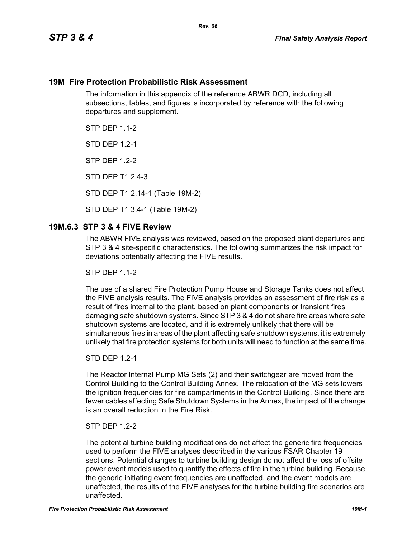## **19M Fire Protection Probabilistic Risk Assessment**

The information in this appendix of the reference ABWR DCD, including all subsections, tables, and figures is incorporated by reference with the following departures and supplement.

**STP DFP 1 1-2** 

**STD DFP 12-1** 

STP DEP 1.2-2

STD DEP T1 2.4-3

STD DEP T1 2.14-1 (Table 19M-2)

STD DEP T1 3.4-1 (Table 19M-2)

## **19M.6.3 STP 3 & 4 FIVE Review**

The ABWR FIVE analysis was reviewed, based on the proposed plant departures and STP 3 & 4 site-specific characteristics. The following summarizes the risk impact for deviations potentially affecting the FIVE results.

**STP DFP 1 1-2** 

The use of a shared Fire Protection Pump House and Storage Tanks does not affect the FIVE analysis results. The FIVE analysis provides an assessment of fire risk as a result of fires internal to the plant, based on plant components or transient fires damaging safe shutdown systems. Since STP 3 & 4 do not share fire areas where safe shutdown systems are located, and it is extremely unlikely that there will be simultaneous fires in areas of the plant affecting safe shutdown systems, it is extremely unlikely that fire protection systems for both units will need to function at the same time.

#### STD DEP 1.2-1

The Reactor Internal Pump MG Sets (2) and their switchgear are moved from the Control Building to the Control Building Annex. The relocation of the MG sets lowers the ignition frequencies for fire compartments in the Control Building. Since there are fewer cables affecting Safe Shutdown Systems in the Annex, the impact of the change is an overall reduction in the Fire Risk.

#### STP DEP 1.2-2

The potential turbine building modifications do not affect the generic fire frequencies used to perform the FIVE analyses described in the various FSAR Chapter 19 sections. Potential changes to turbine building design do not affect the loss of offsite power event models used to quantify the effects of fire in the turbine building. Because the generic initiating event frequencies are unaffected, and the event models are unaffected, the results of the FIVE analyses for the turbine building fire scenarios are unaffected.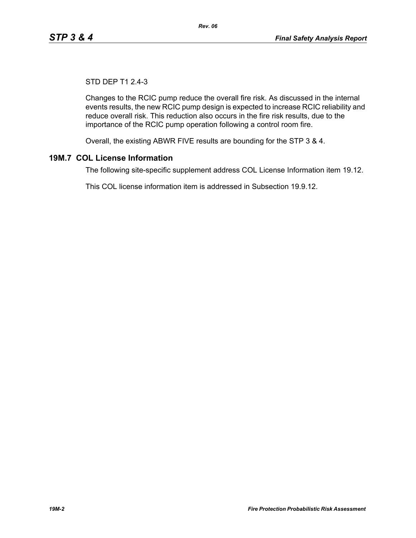# STD DEP T1 2.4-3

Changes to the RCIC pump reduce the overall fire risk. As discussed in the internal events results, the new RCIC pump design is expected to increase RCIC reliability and reduce overall risk. This reduction also occurs in the fire risk results, due to the importance of the RCIC pump operation following a control room fire.

Overall, the existing ABWR FIVE results are bounding for the STP 3 & 4.

# **19M.7 COL License Information**

The following site-specific supplement address COL License Information item 19.12.

This COL license information item is addressed in Subsection 19.9.12.